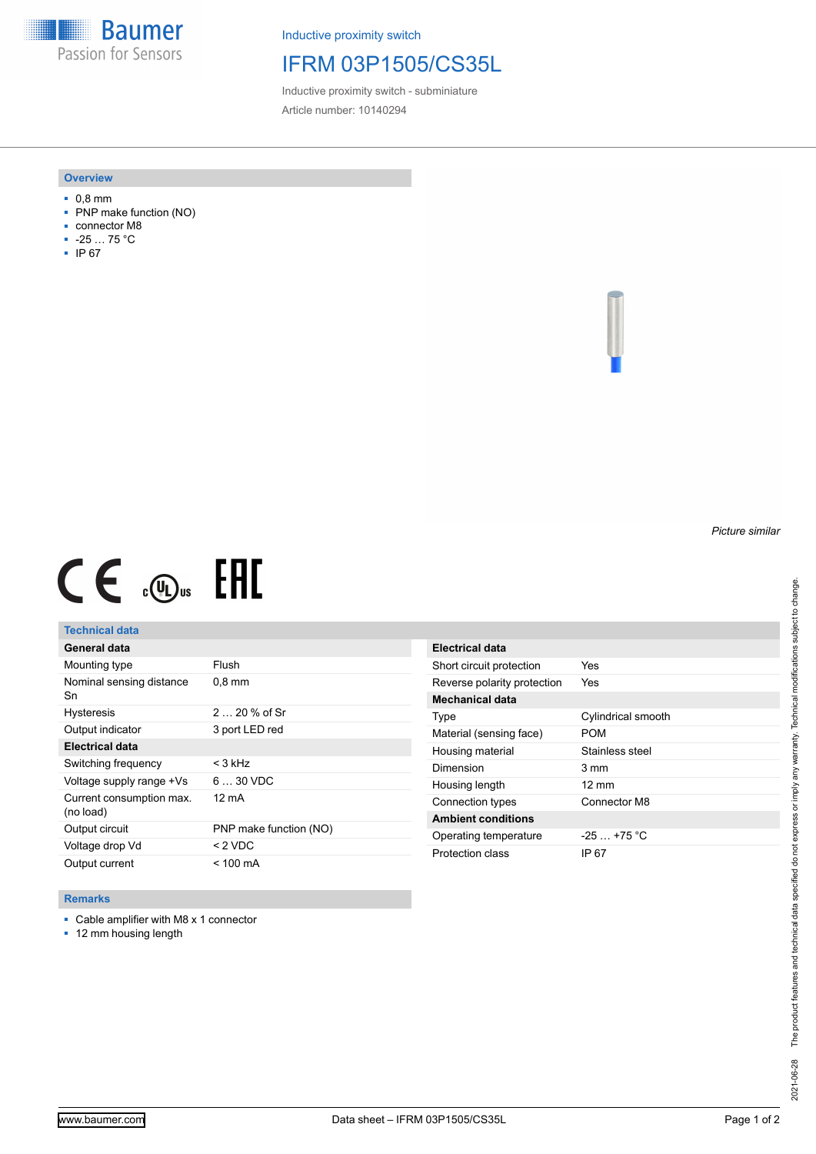**Baumer** Passion for Sensors

Inductive proximity switch

## IFRM 03P1505/CS35L

Inductive proximity switch - subminiature Article number: 10140294

### **Overview**

- 0,8 mm
- PNP make function (NO)
- connector M8
- -25 … 75 °C
- IP 67

*Picture similar*

# $CE \mathcal{L}$  (Dus FRE

## **Technical data**

| General data                          |                        |
|---------------------------------------|------------------------|
| Mounting type                         | Flush                  |
| Nominal sensing distance<br>Sn        | $0,8$ mm               |
| <b>Hysteresis</b>                     | $220%$ of Sr           |
| Output indicator                      | 3 port LED red         |
| <b>Electrical data</b>                |                        |
| Switching frequency                   | $<$ 3 kHz              |
| Voltage supply range +Vs              | $630$ VDC              |
| Current consumption max.<br>(no load) | 12 mA                  |
| Output circuit                        | PNP make function (NO) |
| Voltage drop Vd                       | $<$ 2 VDC              |
| Output current                        | $< 100 \text{ mA}$     |

| Electrical data             |                    |
|-----------------------------|--------------------|
| Short circuit protection    | Yes                |
| Reverse polarity protection | Yes                |
| Mechanical data             |                    |
| Type                        | Cylindrical smooth |
| Material (sensing face)     | POM                |
| Housing material            | Stainless steel    |
| Dimension                   | 3 mm               |
| Housing length              | $12 \text{ mm}$    |
| Connection types            | Connector M8       |
| <b>Ambient conditions</b>   |                    |
| Operating temperature       | $-25 + 75$ °C      |
| Protection class            | IP 67              |

### **Remarks**

■ Cable amplifier with M8 x 1 connector

■ 12 mm housing length